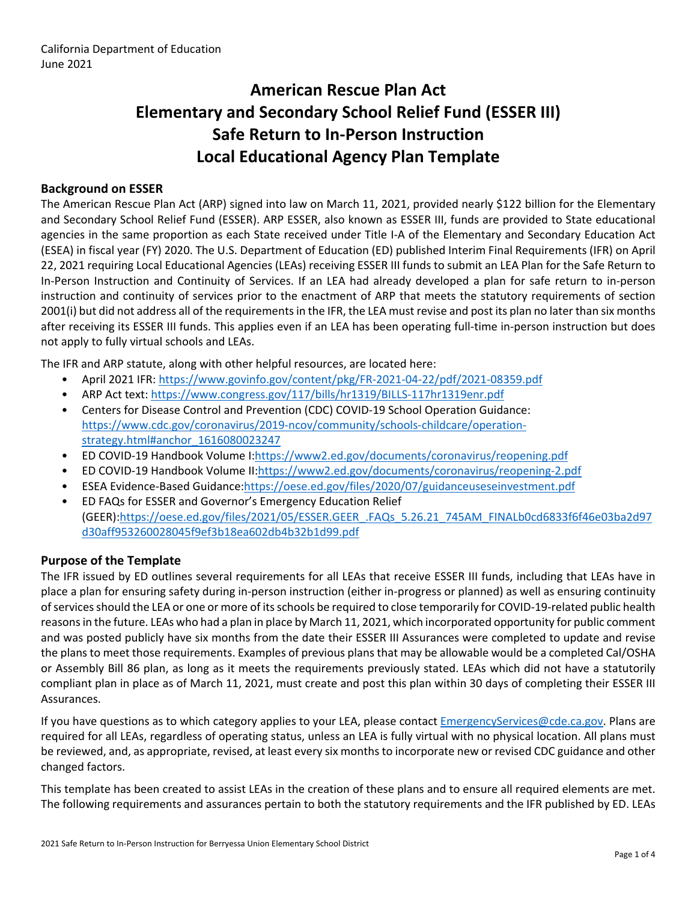# **American Rescue Plan Act Elementary and Secondary School Relief Fund (ESSER III) Safe Return to In-Person Instruction Local Educational Agency Plan Template**

## **Background on ESSER**

The American Rescue Plan Act (ARP) signed into law on March 11, 2021, provided nearly \$122 billion for the Elementary and Secondary School Relief Fund (ESSER). ARP ESSER, also known as ESSER III, funds are provided to State educational agencies in the same proportion as each State received under Title I-A of the Elementary and Secondary Education Act (ESEA) in fiscal year (FY) 2020. The U.S. Department of Education (ED) published Interim Final Requirements (IFR) on April 22, 2021 requiring Local Educational Agencies (LEAs) receiving ESSER III funds to submit an LEA Plan for the Safe Return to In-Person Instruction and Continuity of Services. If an LEA had already developed a plan for safe return to in-person instruction and continuity of services prior to the enactment of ARP that meets the statutory requirements of section 2001(i) but did not address all of the requirements in the IFR, the LEA must revise and post its plan no later than six months after receiving its ESSER III funds. This applies even if an LEA has been operating full-time in-person instruction but does not apply to fully virtual schools and LEAs.

The IFR and ARP statute, along with other helpful resources, are located here:

- April 2021 IFR: <https://www.govinfo.gov/content/pkg/FR-2021-04-22/pdf/2021-08359.pdf>
- ARP Act text: <https://www.congress.gov/117/bills/hr1319/BILLS-117hr1319enr.pdf>
- Centers for Disease Control and Prevention (CDC) COVID-19 School Operation Guidance: [https://www.cdc.gov/coronavirus/2019-ncov/community/schools-childcare/operation](https://www.cdc.gov/coronavirus/2019-ncov/community/schools-childcare/operation-strategy.html#anchor_1616080023247)[strategy.html#anchor\\_1616080023247](https://www.cdc.gov/coronavirus/2019-ncov/community/schools-childcare/operation-strategy.html#anchor_1616080023247)
- ED COVID-19 Handbook Volume I:[https://www2.ed.gov/documents/coronavirus/reopening.pdf](https://www2.ed.gov/documents/coronavirus/reopening.pdf%20)
- ED COVID-19 Handbook Volume II:<https://www2.ed.gov/documents/coronavirus/reopening-2.pdf>
- ESEA Evidence-Based Guidance[:https://oese.ed.gov/files/2020/07/guidanceuseseinvestment.pdf](https://oese.ed.gov/files/2020/07/guidanceuseseinvestment.pdf)
- ED FAQs for ESSER and Governor's Emergency Education Relief (GEER)[:https://oese.ed.gov/files/2021/05/ESSER.GEER\\_.FAQs\\_5.26.21\\_745AM\\_FINALb0cd6833f6f46e03ba2d97](https://oese.ed.gov/files/2021/05/ESSER.GEER_.FAQs_5.26.21_745AM_FINALb0cd6833f6f46e03ba2d97d30aff953260028045f9ef3b18ea602db4b32b1d99.pdf) [d30aff953260028045f9ef3b18ea602db4b32b1d99.pdf](https://oese.ed.gov/files/2021/05/ESSER.GEER_.FAQs_5.26.21_745AM_FINALb0cd6833f6f46e03ba2d97d30aff953260028045f9ef3b18ea602db4b32b1d99.pdf)

#### **Purpose of the Template**

The IFR issued by ED outlines several requirements for all LEAs that receive ESSER III funds, including that LEAs have in place a plan for ensuring safety during in-person instruction (either in-progress or planned) as well as ensuring continuity of services should the LEA or one or more of its schools be required to close temporarily for COVID-19-related public health reasons in the future. LEAs who had a plan in place by March 11, 2021, which incorporated opportunity for public comment and was posted publicly have six months from the date their ESSER III Assurances were completed to update and revise the plans to meet those requirements. Examples of previous plans that may be allowable would be a completed Cal/OSHA or Assembly Bill 86 plan, as long as it meets the requirements previously stated. LEAs which did not have a statutorily compliant plan in place as of March 11, 2021, must create and post this plan within 30 days of completing their ESSER III Assurances.

If you have questions as to which category applies to your LEA, please contact [EmergencyServices@cde.ca.gov.](mailto:EmergencyServices@cde.ca.gov) Plans are required for all LEAs, regardless of operating status, unless an LEA is fully virtual with no physical location. All plans must be reviewed, and, as appropriate, revised, at least every six months to incorporate new or revised CDC guidance and other changed factors.

This template has been created to assist LEAs in the creation of these plans and to ensure all required elements are met. The following requirements and assurances pertain to both the statutory requirements and the IFR published by ED. LEAs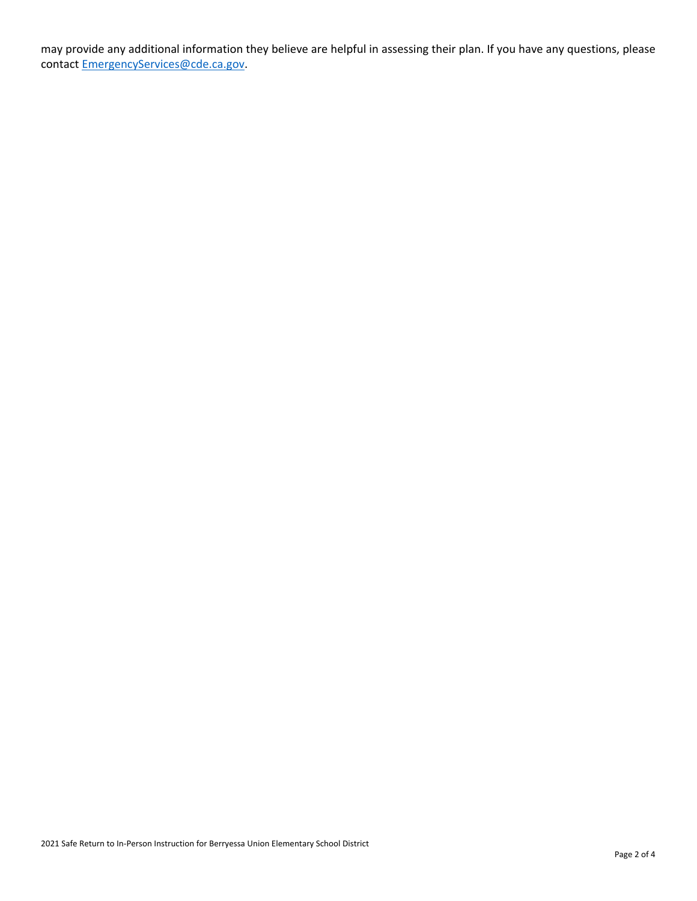may provide any additional information they believe are helpful in assessing their plan. If you have any questions, please contact [EmergencyServices@cde.ca.gov.](mailto:EmergencyServices@cde.ca.gov)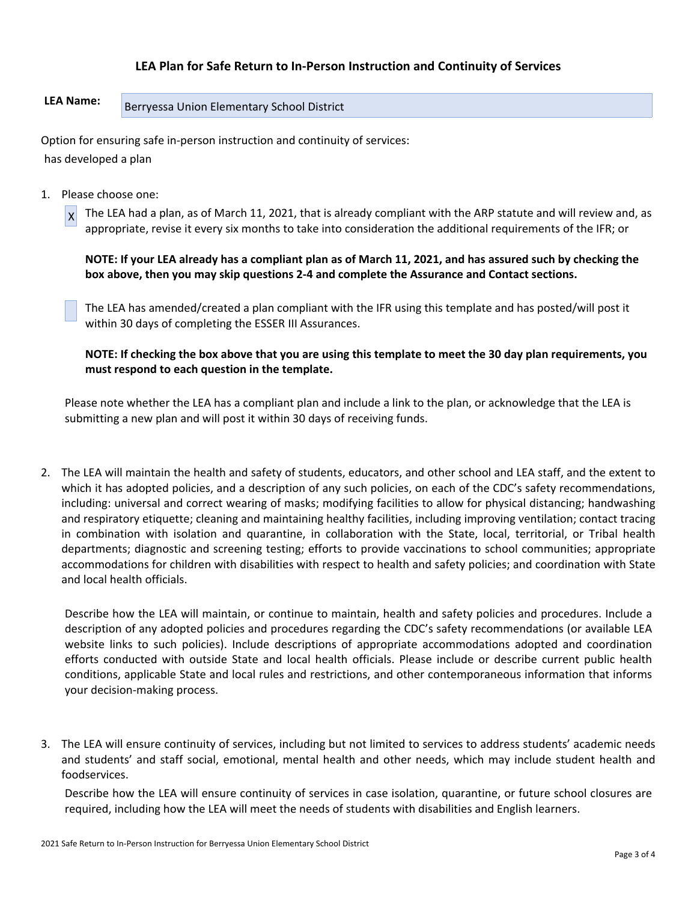## **LEA Plan for Safe Return to In-Person Instruction and Continuity of Services**

# LEA Name: Berryessa Union Elementary School District

Option for ensuring safe in-person instruction and continuity of services: has developed a plan

1. Please choose one:

 $x$  The LEA had a plan, as of March 11, 2021, that is already compliant with the ARP statute and will review and, as appropriate, revise it every six months to take into consideration the additional requirements of the IFR; or

**NOTE: If your LEA already has a compliant plan as of March 11, 2021, and has assured such by checking the box above, then you may skip questions 2-4 and complete the Assurance and Contact sections.**

The LEA has amended/created a plan compliant with the IFR using this template and has posted/will post it within 30 days of completing the ESSER III Assurances.

**NOTE: If checking the box above that you are using this template to meet the 30 day plan requirements, you must respond to each question in the template.**

Please note whether the LEA has a compliant plan and include a link to the plan, or acknowledge that the LEA is submitting a new plan and will post it within 30 days of receiving funds.

2. The LEA will maintain the health and safety of students, educators, and other school and LEA staff, and the extent to which it has adopted policies, and a description of any such policies, on each of the CDC's safety recommendations, including: universal and correct wearing of masks; modifying facilities to allow for physical distancing; handwashing and respiratory etiquette; cleaning and maintaining healthy facilities, including improving ventilation; contact tracing in combination with isolation and quarantine, in collaboration with the State, local, territorial, or Tribal health departments; diagnostic and screening testing; efforts to provide vaccinations to school communities; appropriate accommodations for children with disabilities with respect to health and safety policies; and coordination with State and local health officials.

Describe how the LEA will maintain, or continue to maintain, health and safety policies and procedures. Include a description of any adopted policies and procedures regarding the CDC's safety recommendations (or available LEA website links to such policies). Include descriptions of appropriate accommodations adopted and coordination efforts conducted with outside State and local health officials. Please include or describe current public health conditions, applicable State and local rules and restrictions, and other contemporaneous information that informs your decision-making process.

3. The LEA will ensure continuity of services, including but not limited to services to address students' academic needs and students' and staff social, emotional, mental health and other needs, which may include student health and foodservices.

Describe how the LEA will ensure continuity of services in case isolation, quarantine, or future school closures are required, including how the LEA will meet the needs of students with disabilities and English learners.